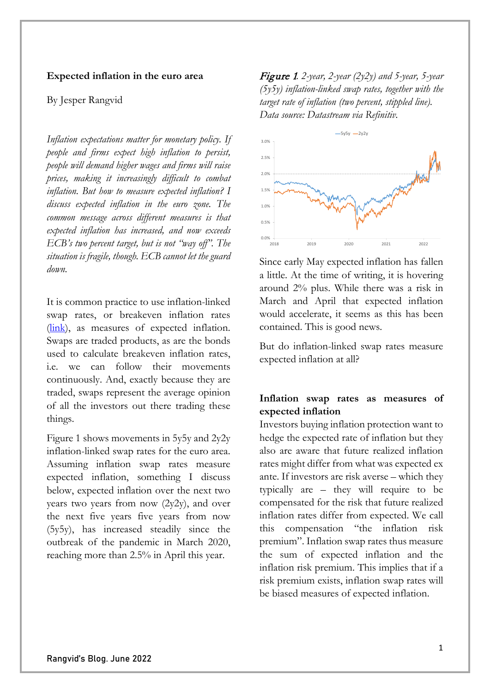## **Expected inflation in the euro area**

### By Jesper Rangvid

*Inflation expectations matter for monetary policy. If people and firms expect high inflation to persist, people will demand higher wages and firms will raise prices, making it increasingly difficult to combat inflation. But how to measure expected inflation? I discuss expected inflation in the euro zone. The common message across different measures is that expected inflation has increased, and now exceeds ECB's two percent target, but is not "way off". The situation is fragile, though. ECB cannot let the guard down.* 

It is common practice to use inflation-linked swap rates, or breakeven inflation rates  $(link)$ , as measures of expected inflation. Swaps are traded products, as are the bonds used to calculate breakeven inflation rates, i.e. we can follow their movements continuously. And, exactly because they are traded, swaps represent the average opinion of all the investors out there trading these things.

Figure 1 shows movements in 5y5y and 2y2y inflation-linked swap rates for the euro area. Assuming inflation swap rates measure expected inflation, something I discuss below, expected inflation over the next two years two years from now  $(2y2y)$ , and over the next five years five years from now (5y5y), has increased steadily since the outbreak of the pandemic in March 2020, reaching more than 2.5% in April this year.

Figure 1*. 2-year, 2-year (2y2y) and 5-year, 5-year (5y5y) inflation-linked swap rates, together with the target rate of inflation (two percent, stippled line). Data source: Datastream via Refinitiv.*



Since early May expected inflation has fallen a little. At the time of writing, it is hovering around 2% plus. While there was a risk in March and April that expected inflation would accelerate, it seems as this has been contained. This is good news.

But do inflation-linked swap rates measure expected inflation at all?

# **Inflation swap rates as measures of expected inflation**

Investors buying inflation protection want to hedge the expected rate of inflation but they also are aware that future realized inflation rates might differ from what was expected ex ante. If investors are risk averse – which they typically are – they will require to be compensated for the risk that future realized inflation rates differ from expected. We call this compensation "the inflation risk premium". Inflation swap rates thus measure the sum of expected inflation and the inflation risk premium. This implies that if a risk premium exists, inflation swap rates will be biased measures of expected inflation.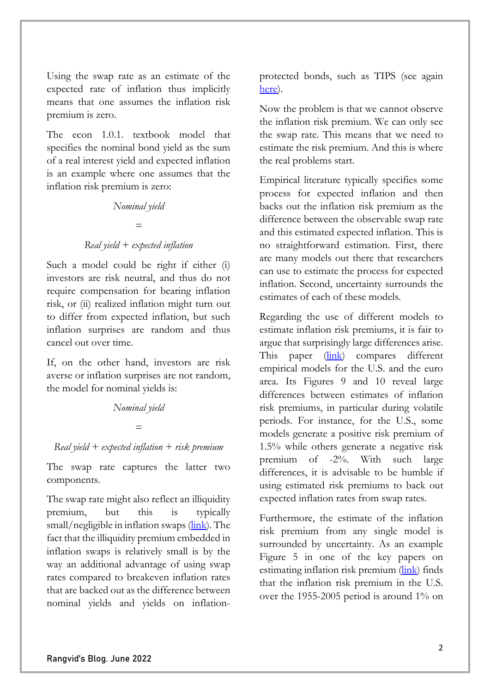Using the swap rate as an estimate of the expected rate of inflation thus implicitly means that one assumes the inflation risk premium is zero.

The econ 1.0.1. textbook model that specifies the nominal bond yield as the sum of a real interest yield and expected inflation is an example where one assumes that the inflation risk premium is zero:

#### *Nominal yield*

# *= Real yield + expected inflation*

Such a model could be right if either (i) investors are risk neutral, and thus do not require compensation for bearing inflation risk, or (ii) realized inflation might turn out to differ from expected inflation, but such inflation surprises are random and thus cancel out over time.

If, on the other hand, investors are risk averse or inflation surprises are not random, the model for nominal yields is:

## *Nominal yield*

#### *=*

## *Real yield + expected inflation + risk premium*

The swap rate captures the latter two components.

The swap rate might also reflect an illiquidity premium, but this is typically small/negligible in inflation swaps [\(link\)](https://www.ecb.europa.eu/pub/economic-bulletin/focus/2022/html/ecb.ebbox202108_04%7Ee1a3c5e88a.en.html). The fact that the illiquidity premium embedded in inflation swaps is relatively small is by the way an additional advantage of using swap rates compared to breakeven inflation rates that are backed out as the difference between nominal yields and yields on inflationprotected bonds, such as TIPS (see again [here\)](https://www.ecb.europa.eu/pub/economic-bulletin/focus/2022/html/ecb.ebbox202108_04%7Ee1a3c5e88a.en.html).

Now the problem is that we cannot observe the inflation risk premium. We can only see the swap rate. This means that we need to estimate the risk premium. And this is where the real problems start.

Empirical literature typically specifies some process for expected inflation and then backs out the inflation risk premium as the difference between the observable swap rate and this estimated expected inflation. This is no straightforward estimation. First, there are many models out there that researchers can use to estimate the process for expected inflation. Second, uncertainty surrounds the estimates of each of these models.

Regarding the use of different models to estimate inflation risk premiums, it is fair to argue that surprisingly large differences arise. This paper [\(link\)](https://papers.ssrn.com/sol3/papers.cfm?abstract_id=2012460) compares different empirical models for the U.S. and the euro area. Its Figures 9 and 10 reveal large differences between estimates of inflation risk premiums, in particular during volatile periods. For instance, for the U.S., some models generate a positive risk premium of 1.5% while others generate a negative risk premium of -2%. With such large differences, it is advisable to be humble if using estimated risk premiums to back out expected inflation rates from swap rates.

Furthermore, the estimate of the inflation risk premium from any single model is surrounded by uncertainty. As an example Figure 5 in one of the key papers on estimating inflation risk premium [\(link\)](https://onlinelibrary.wiley.com/doi/10.1111/j.1540-6261.2008.01332.x) finds that the inflation risk premium in the U.S. over the 1955-2005 period is around 1% on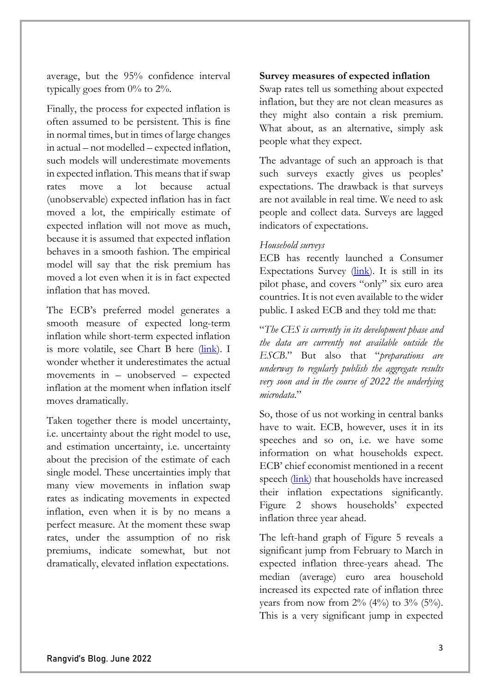average, but the 95% confidence interval typically goes from  $0\%$  to  $2\%$ .

Finally, the process for expected inflation is often assumed to be persistent. This is fine in normal times, but in times of large changes in actual – not modelled – expected inflation, such models will underestimate movements in expected inflation. This means that if swap rates move a lot because actual (unobservable) expected inflation has in fact moved a lot, the empirically estimate of expected inflation will not move as much, because it is assumed that expected inflation behaves in a smooth fashion. The empirical model will say that the risk premium has moved a lot even when it is in fact expected inflation that has moved.

The ECB's preferred model generates a smooth measure of expected long-term inflation while short-term expected inflation is more volatile, see Chart B here [\(link\)](https://www.ecb.europa.eu/pub/economic-bulletin/focus/2022/html/ecb.ebbox202108_04%7Ee1a3c5e88a.en.html). I wonder whether it underestimates the actual movements in – unobserved – expected inflation at the moment when inflation itself moves dramatically.

Taken together there is model uncertainty, i.e. uncertainty about the right model to use, and estimation uncertainty, i.e. uncertainty about the precision of the estimate of each single model. These uncertainties imply that many view movements in inflation swap rates as indicating movements in expected inflation, even when it is by no means a perfect measure. At the moment these swap rates, under the assumption of no risk premiums, indicate somewhat, but not dramatically, elevated inflation expectations.

# **Survey measures of expected inflation**

Swap rates tell us something about expected inflation, but they are not clean measures as they might also contain a risk premium. What about, as an alternative, simply ask people what they expect.

The advantage of such an approach is that such surveys exactly gives us peoples' expectations. The drawback is that surveys are not available in real time. We need to ask people and collect data. Surveys are lagged indicators of expectations.

## *Household surveys*

ECB has recently launched a Consumer Expectations Survey  $(\frac{link}{ln})$ . It is still in its pilot phase, and covers "only" six euro area countries. It is not even available to the wider public. I asked ECB and they told me that:

"*The CES is currently in its development phase and the data are currently not available outside the ESCB*." But also that "*preparations are underway to regularly publish the aggregate results very soon and in the course of 2022 the underlying microdata*."

So, those of us not working in central banks have to wait. ECB, however, uses it in its speeches and so on, i.e. we have some information on what households expect. ECB' chief economist mentioned in a recent speech [\(link\)](https://www.ecb.europa.eu/press/key/date/2022/html/ecb.sp220601_2%7E9b74bccd0a.en.pdf?77e7aa4eecf9478223159b814de6e387) that households have increased their inflation expectations significantly. Figure 2 shows households' expected inflation three year ahead.

The left-hand graph of Figure 5 reveals a significant jump from February to March in expected inflation three-years ahead. The median (average) euro area household increased its expected rate of inflation three years from now from  $2\%$  (4%) to  $3\%$  (5%). This is a very significant jump in expected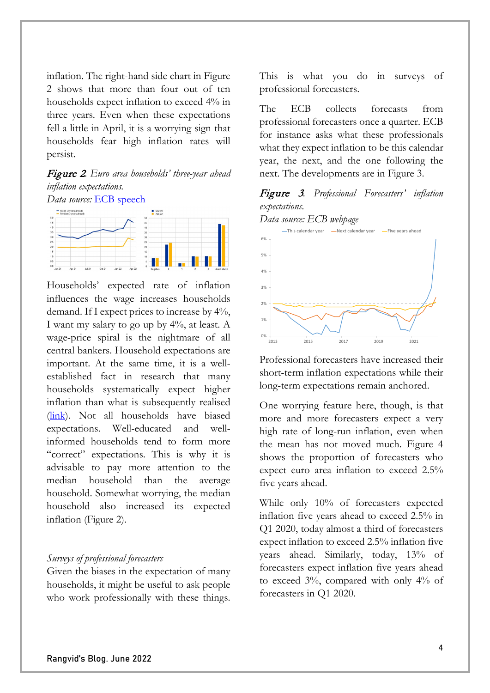inflation. The right-hand side chart in Figure 2 shows that more than four out of ten households expect inflation to exceed 4% in three years. Even when these expectations fell a little in April, it is a worrying sign that households fear high inflation rates will persist.

# Figure 2*. Euro area households' three-year ahead inflation expectations.*



Households' expected rate of inflation influences the wage increases households demand. If I expect prices to increase by 4%, I want my salary to go up by 4%, at least. A wage-price spiral is the nightmare of all central bankers. Household expectations are important. At the same time, it is a wellestablished fact in research that many households systematically expect higher inflation than what is subsequently realised [\(link\)](https://www.nber.org/papers/w30046). Not all households have biased expectations. Well-educated and wellinformed households tend to form more "correct" expectations. This is why it is advisable to pay more attention to the median household than the average household. Somewhat worrying, the median household also increased its expected inflation (Figure 2).

#### *Surveys of professional forecasters*

Given the biases in the expectation of many households, it might be useful to ask people who work professionally with these things.

This is what you do in surveys of professional forecasters.

The ECB collects forecasts from professional forecasters once a quarter. ECB for instance asks what these professionals what they expect inflation to be this calendar year, the next, and the one following the next. The developments are in Figure 3.

# Figure 3*. Professional Forecasters' inflation expectations.*





Professional forecasters have increased their short-term inflation expectations while their long-term expectations remain anchored.

One worrying feature here, though, is that more and more forecasters expect a very high rate of long-run inflation, even when the mean has not moved much. Figure 4 shows the proportion of forecasters who expect euro area inflation to exceed 2.5% five years ahead.

While only 10% of forecasters expected inflation five years ahead to exceed 2.5% in Q1 2020, today almost a third of forecasters expect inflation to exceed 2.5% inflation five years ahead. Similarly, today, 13% of forecasters expect inflation five years ahead to exceed 3%, compared with only 4% of forecasters in Q1 2020.